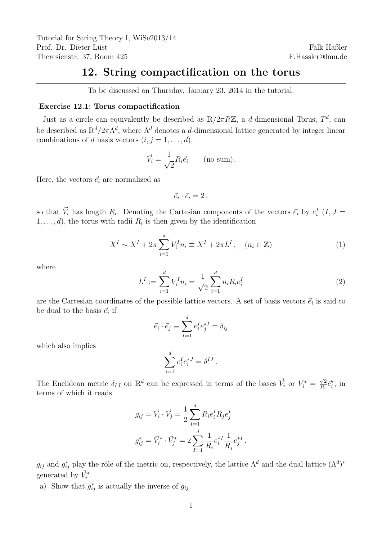## 12. String compactification on the torus

To be discussed on Thursday, January 23, 2014 in the tutorial.

## Exercise 12.1: Torus compactification

Just as a circle can equivalently be described as  $\mathbb{R}/2\pi R\mathbb{Z}$ , a d-dimensional Torus,  $T^d$ , can be described as  $\mathbb{R}^d/2\pi\Lambda^d$ , where  $\Lambda^d$  denotes a d-dimensional lattice generated by integer linear combinations of d basis vectors  $(i, j = 1, \ldots, d)$ ,

$$
\vec{V}_i = \frac{1}{\sqrt{2}} R_i \vec{e}_i \qquad \text{(no sum)}.
$$

Here, the vectors  $\vec{e}_i$  are normalized as

$$
\vec{e}_i \cdot \vec{e}_i = 2\,,
$$

so that  $\vec{V}_i$  has length  $R_i$ . Denoting the Cartesian components of the vectors  $\vec{e}_i$  by  $e_i^I$   $(I, J =$  $1, \ldots, d$ , the torus with radii  $R_i$  is then given by the identification

$$
X^{I} \sim X^{I} + 2\pi \sum_{i=1}^{d} V_{i}^{I} n_{i} \equiv X^{I} + 2\pi L^{I}, \quad (n_{i} \in \mathbb{Z})
$$
 (1)

where

$$
L^{I} := \sum_{i=1}^{d} V_{i}^{I} n_{i} = \frac{1}{\sqrt{2}} \sum_{i=1}^{d} n_{i} R_{i} e_{i}^{I}
$$
 (2)

are the Cartesian coordinates of the possible lattice vectors. A set of basis vectors  $\vec{e}_i$  is said to be dual to the basis  $\vec{e}_i$  if

$$
\vec{e_i} \cdot \vec{e_j} \equiv \sum_{I=1}^d e_i^I e_j^{*I} = \delta_{ij}
$$

which also implies

$$
\sum_{i=1}^d e_i^I e_i^{*J} = \delta^{IJ}.
$$

The Euclidean metric  $\delta_{IJ}$  on  $\mathbb{R}^d$  can be expressed in terms of the bases  $\vec{V}_i$  or  $V_i^*$  $\sqrt{2}$  $\frac{\sqrt{2}}{R_i} \vec{e}_i^*$ , in terms of which it reads

$$
g_{ij} = \vec{V}_i \cdot \vec{V}_j = \frac{1}{2} \sum_{I=1}^d R_i e_i^I R_j e_j^I
$$

$$
g_{ij}^* = \vec{V}_i^* \cdot \vec{V}_j^* = 2 \sum_{I=1}^d \frac{1}{R_i} e_i^{*I} \frac{1}{R_j} e_j^{*I}.
$$

 $g_{ij}$  and  $g_{ij}^*$  play the rôle of the metric on, respectively, the lattice  $\Lambda^d$  and the dual lattice  $(\Lambda^d)^*$ generated by  $\vec{V}_i^*$ .

a) Show that  $g_{ij}^*$  is actually the inverse of  $g_{ij}$ .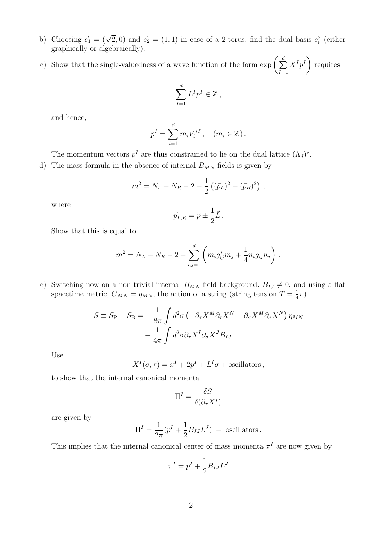- b) Choosing  $\vec{e}_1 = (\sqrt{2}, 0)$  and  $\vec{e}_2 = (1, 1)$  in case of a 2-torus, find the dual basis  $\vec{e}_i^*$  (either graphically or algebraically).
- c) Show that the single-valuedness of a wave function of the form  $\exp\left(\sum_{i=1}^{d} x_i\right)$  $I=1$  $X^{I}p^{I}$ requires

$$
\sum_{I=1}^d L^I p^I \in \mathbb{Z},
$$

and hence,

$$
p^{I} = \sum_{i=1}^{d} m_{i} V_{i}^{*I}, \quad (m_{i} \in \mathbb{Z}).
$$

The momentum vectors  $p<sup>I</sup>$  are thus constrained to lie on the dual lattice  $(\Lambda_d)^*$ .

d) The mass formula in the absence of internal  $B_{MN}$  fields is given by

$$
m^2 = N_L + N_R - 2 + \frac{1}{2} ((\vec{p}_L)^2 + (\vec{p}_R)^2) ,
$$

where

$$
\vec{p}_{L,R} = \vec{p} \pm \frac{1}{2}\vec{L} \,.
$$

Show that this is equal to

$$
m^{2} = N_{L} + N_{R} - 2 + \sum_{i,j=1}^{d} \left( m_{i}g_{ij}^{*}m_{j} + \frac{1}{4} n_{i}g_{ij}n_{j} \right).
$$

e) Switching now on a non-trivial internal  $B_{MN}$ -field background,  $B_{IJ} \neq 0$ , and using a flat spacetime metric,  $G_{MN} = \eta_{MN}$ , the action of a string (string tension  $T = \frac{1}{4}$  $\frac{1}{4}\pi)$ 

$$
S \equiv S_{\rm P} + S_{\rm B} = -\frac{1}{8\pi} \int d^2 \sigma \left( -\partial_{\tau} X^M \partial_{\tau} X^N + \partial_{\sigma} X^M \partial_{\sigma} X^N \right) \eta_{MN} + \frac{1}{4\pi} \int d^2 \sigma \partial_{\tau} X^I \partial_{\sigma} X^J B_{IJ} .
$$

Use

$$
X^{I}(\sigma, \tau) = x^{I} + 2p^{I} + L^{I}\sigma + \text{oscillators},
$$

to show that the internal canonical momenta

$$
\Pi^I = \frac{\delta S}{\delta(\partial_\tau X^I)}
$$

are given by

$$
\Pi^I = \frac{1}{2\pi} (p^I + \frac{1}{2} B_{IJ} L^J) + \text{ oscillators}.
$$

This implies that the internal canonical center of mass momenta  $\pi^I$  are now given by

$$
\pi^I = p^I + \frac{1}{2} B_{IJ} L^J
$$